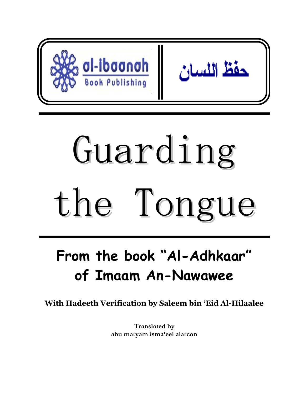

# Guarding the Tongue

## **From the book "Al-Adhkaar" of Imaam An-Nawawee**

**With Hadeeth Verification by Saleem bin 'Eid Al-Hilaalee** 

**Translated by abu maryam isma'eel alarcon**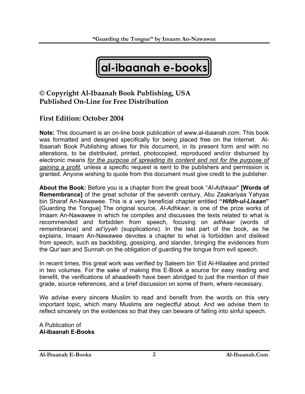

#### **© Copyright Al-Ibaanah Book Publishing, USA Published On-Line for Free Distribution**

#### **First Edition: October 2004**

**Note:** This document is an on-line book publication of www.al-ibaanah.com. This book was formatted and designed specifically for being placed free on the Internet. Al-Ibaanah Book Publishing allows for this document, in its present form and with no alterations, to be distributed, printed, photocopied, reproduced and/or disbursed by electronic means *for the purpose of spreading its content and not for the purpose of gaining a profit,* unless a specific request is sent to the publishers and permission is granted. Anyone wishing to quote from this document must give credit to the publisher.

**About the Book:** Before you is a chapter from the great book "*Al-Adhkaar*" **[Words of Remembrance]** of the great scholar of the seventh century, Abu Zaakariyaa Yahyaa bin Sharaf An-Nawawee. This is a very beneficial chapter entitled **"***Hifdh-ul-Lisaan***"**  [Guarding the Tongue] The original source, *Al-Adhkaar*, is one of the prize works of Imaam An-Nawawee in which he compiles and discusses the texts related to what is recommended and forbidden from speech, focusing on *adhkaar* (words of remembrance) and *ad'iyyah* (supplications). In the last part of the book, as he explains, Imaam An-Nawawee devotes a chapter to what is forbidden and disliked from speech, such as backbiting, gossiping, and slander, bringing the evidences from the Qur'aan and Sunnah on the obligation of guarding the tongue from evil speech.

In recent times, this great work was verified by Saleem bin 'Eid Al-Hilaalee and printed in two volumes. For the sake of making this E-Book a source for easy reading and benefit, the verifications of ahaadeeth have been abridged to just the mention of their grade, source references, and a brief discussion on some of them, where necessary.

We advise every sincere Muslim to read and benefit from the words on this very important topic, which many Muslims are neglectful about. And we advise them to reflect sincerely on the evidences so that they can beware of falling into sinful speech.

A Publication of **Al-Ibaanah E-Books**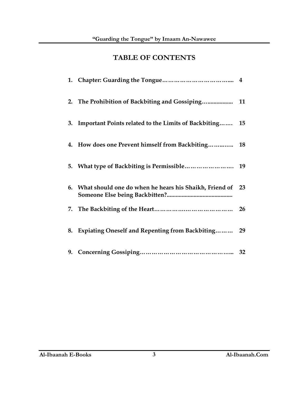### **TABLE OF CONTENTS**

| 2. The Prohibition of Backbiting and Gossiping 11         |    |
|-----------------------------------------------------------|----|
| 3. Important Points related to the Limits of Backbiting   | 15 |
| 4. How does one Prevent himself from Backbiting 18        |    |
|                                                           |    |
| 6. What should one do when he hears his Shaikh, Friend of | 23 |
|                                                           |    |
| 8. Expiating Oneself and Repenting from Backbiting        | 29 |
|                                                           |    |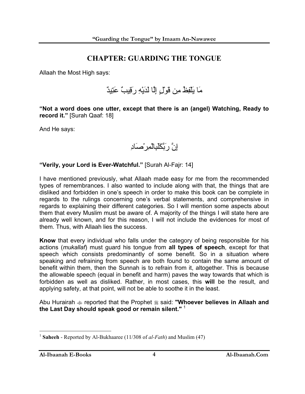#### **CHAPTER: GUARDING THE TONGUE**

Allaah the Most High says:

مَا يَلْفِظُ مِن قَوْلٍ إِلَّا لَدَيْهِ رَقِيبٌ عَتِيدٌ

**"Not a word does one utter, except that there is an (angel) Watching, Ready to record it."** [Surah Qaaf: 18]

And He says:

إِنَّ رَبَّكَلَبِالْمِرْصَادِ

**"Verily, your Lord is Ever-Watchful."** [Surah Al-Fajr: 14]

I have mentioned previously, what Allaah made easy for me from the recommended types of remembrances. I also wanted to include along with that, the things that are disliked and forbidden in one's speech in order to make this book can be complete in regards to the rulings concerning one's verbal statements, and comprehensive in regards to explaining their different categories. So I will mention some aspects about them that every Muslim must be aware of. A majority of the things I will state here are already well known, and for this reason, I will not include the evidences for most of them. Thus, with Allaah lies the success.

**Know** that every individual who falls under the category of being responsible for his actions (*mukallaf*) must guard his tongue from **all types of speech**, except for that speech which consists predominantly of some benefit. So in a situation where speaking and refraining from speech are both found to contain the same amount of benefit within them, then the Sunnah is to refrain from it, altogether. This is because the allowable speech (equal in benefit and harm) paves the way towards that which is forbidden as well as disliked. Rather, in most cases, this **will** be the result, and applying safety, at that point, will not be able to soothe it in the least.

Abu Hurairah  $\triangleq$  reported that the Prophet  $\triangleq$  said: "Whoever believes in Allaah and **the Last Day should speak good or remain silent."** <sup>1</sup>

<sup>1</sup> **Saheeh** - Reported by Al-Bukhaaree (11/308 of *al-Fath*) and Muslim (47)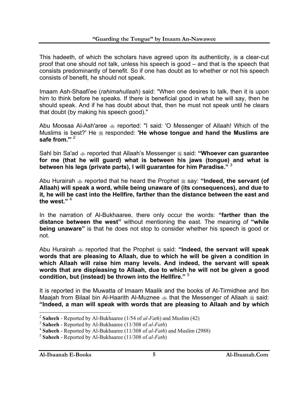This hadeeth, of which the scholars have agreed upon its authenticity, is a clear-cut proof that one should not talk, unless his speech is good – and that is the speech that consists predominantly of benefit. So if one has doubt as to whether or not his speech consists of benefit, he should not speak.

Imaam Ash-Shaafi'ee (*rahimahullaah*) said: "When one desires to talk, then it is upon him to think before he speaks. If there is beneficial good in what he will say, then he should speak. And if he has doubt about that, then he must not speak until he clears that doubt (by making his speech good)."

Abu Moosaa Al-Ash'aree  $*$  reported: "I said: 'O Messenger of Allaah! Which of the Muslims is best?' He responded: **'He whose tongue and hand the Muslims are**  safe from."<sup>2</sup>

Sahl bin Sa'ad  $\triangleq$  reported that Allaah's Messenger  $\triangleq$  said: "Whoever can guarantee **for me (that he will guard) what is between his jaws (tongue) and what is between his legs (private parts), I will guarantee for him Paradise."** <sup>3</sup>

Abu Hurairah  $\triangleq$  reported that he heard the Prophet  $\triangleq$  say: "Indeed, the servant (of **Allaah) will speak a word, while being unaware of (its consequences), and due to it, he will be cast into the Hellfire, farther than the distance between the east and the west."** <sup>4</sup>

In the narration of Al-Bukhaaree, there only occur the words: **"farther than the distance between the west"** without mentioning the east. The meaning of **"while being unaware"** is that he does not stop to consider whether his speech is good or not.

Abu Hurairah  $\triangleq$  reported that the Prophet  $\triangleq$  said: "Indeed, the servant will speak **words that are pleasing to Allaah, due to which he will be given a condition in which Allaah will raise him many levels. And indeed, the servant will speak words that are displeasing to Allaah, due to which he will not be given a good condition, but (instead) be thrown into the Hellfire."** <sup>5</sup>

It is reported in the Muwatta of Imaam Maalik and the books of At-Tirmidhee and Ibn Maajah from Bilaal bin Al-Haarith Al-Muznee  $\triangleleft$  that the Messenger of Allaah  $\triangleleft$  said: **"Indeed, a man will speak with words that are pleasing to Allaah and by which** 

<sup>2</sup> **Saheeh** - Reported by Al-Bukhaaree (1/54 of *al-Fath*) and Muslim (42)

<sup>3</sup> **Saheeh** - Reported by Al-Bukhaaree (11/308 of *al-Fath*)

<sup>4</sup> **Saheeh** - Reported by Al-Bukhaaree (11/308 of *al-Fath*) and Muslim (2988)

<sup>5</sup> **Saheeh** - Reported by Al-Bukhaaree (11/308 of *al-Fath*)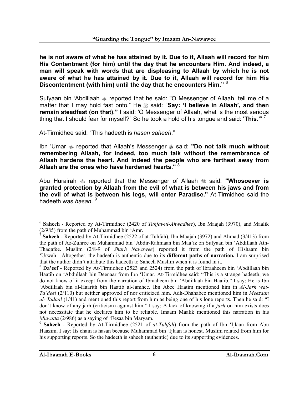**he is not aware of what he has attained by it. Due to it, Allaah will record for him His Contentment (for him) until the day that he encounters Him. And indeed, a man will speak with words that are displeasing to Allaah by which he is not aware of what he has attained by it. Due to it, Allaah will record for him His Discontentment (with him) until the day that he encounters Him."** <sup>6</sup>

Sufyaan bin 'Abdillaah reported that he said: "O Messenger of Allaah, tell me of a matter that I may hold fast onto." He  $*$  said: "Say: 'I believe in Allaah', and then **remain steadfast (on that)."** I said: 'O Messenger of Allaah, what is the most serious thing that I should fear for myself?" So he took a hold of his tongue and said: **'This.'**" 7

At-Tirmidhee said: "This hadeeth is *hasan saheeh*."

Ibn 'Umar  $\triangleq$  reported that Allaah's Messenger  $\triangleq$  said: "Do not talk much without **remembering Allaah, for indeed, too much talk without the remembrance of Allaah hardens the heart. And indeed the people who are farthest away from Allaah are the ones who have hardened hearts."** <sup>8</sup>

Abu Hurairah  $\triangleq$  reported that the Messenger of Allaah  $\triangleq$  said: "Whosoever is **granted protection by Allaah from the evil of what is between his jaws and from the evil of what is between his legs, will enter Paradise."** At-Tirmidhee said the hadeeth was *hasan*. <sup>9</sup>

<sup>6</sup> **Saheeh** - Reported by At-Tirmidhee (2420 of *Tuhfat-ul-Ahwadhee*), Ibn Maajah (3970), and Maalik (2/985) from the path of Muhammad bin 'Amr.

<sup>7</sup> **Saheeh** - Reported by At-Tirmidhee (2522 of at-Tuhfah), Ibn Maajah (3972) and Ahmad (3/413) from the path of Az-Zuhree on Muhammad bin 'Abdir-Rahmaan bin Maa'iz on Sufyaan bin 'Abdillaah Ath-Thaqafee. Muslim (2/8-9 of *Sharh Nawawee*) reported it from the path of Hishaam bin 'Urwah…Altogether, the hadeeth is authentic due to its **different paths of narration.** I am surprised that the author didn't attribute this hadeeth to Saheeh Muslim when it is found in it.

<sup>8</sup> **Da'eef** - Reported by At-Tirmidhee (2523 and 2524) from the path of Ibraaheem bin 'Abdillaah bin Haatib on 'Abdullaah bin Deenaar from Ibn 'Umar. At-Tirmidhee said: "This is a strange hadeeth, we do not know of it except from the narration of Ibraaheem bin 'Abdillaah bin Haatib." I say: He is Ibn 'Abdillaah bin al-Haarith bin Haatib al-Jamhee. Ibn Abee Haatim mentioned him in *Al-Jarh wat-Ta'deel* (2/110) but neither approved of nor criticized him. Adh-Dhahabee mentioned him in *Meezaan al-'Itidaal* (1/41) and mentioned this report from him as being one of his lone reports. Then he said: "I don't know of any jarh (criticism) against him." I say: A lack of knowing if a *jarh* on him exists does not necessitate that he declares him to be reliable. Imaam Maalik mentioned this narration in his *Muwatta* (2/986) as a saying of 'Eesaa bin Maryam.

<sup>9</sup> **Saheeh** - Reported by At-Tirmidhee (2521 of *at-Tuhfah*) from the path of Ibn 'Ijlaan from Abu Haazim. I say: Its chain is hasan because Muhammad bin 'Ijlaan is honest. Muslim related from him for his supporting reports. So the hadeeth is saheeh (authentic) due to its supporting evidences.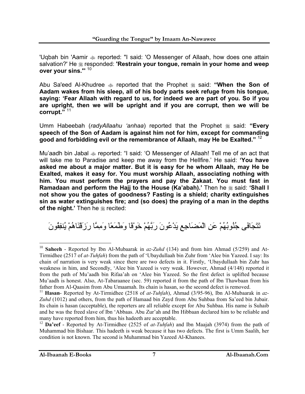'Uqbah bin 'Aamir reported: "I said: 'O Messenger of Allaah, how does one attain salvation?' He responded: **'Restrain your tongue, remain in your home and weep over your sins.'**" 10

Abu Sa'eed Al-Khudree  $\triangleq$  reported that the Prophet  $\triangleq$  said: "When the Son of **Aadam wakes from his sleep, all of his body parts seek refuge from his tongue, saying: 'Fear Allaah with regard to us, for indeed we are part of you. So if you are upright, then we will be upright and if you are corrupt, then we will be corrupt."** <sup>11</sup>

Umm Habeebah (*radyAllaahu 'anhaa*) reported that the Prophet  $\frac{1}{26}$  said: "Every **speech of the Son of Aadam is against him not for him, except for commanding good and forbidding evil or the remembrance of Allaah, may He be Exalted."** <sup>12</sup>

Mu'aadh bin Jabal  $\triangleq$  reported: "I said: 'O Messenger of Allaah! Tell me of an act that will take me to Paradise and keep me away from the Hellfire.' He said: **'You have asked me about a major matter. But it is easy for he whom Allaah, may He be Exalted, makes it easy for. You must worship Allaah, associating nothing with him. You must perform the prayers and pay the Zakaat. You must fast in Ramadaan and perform the Hajj to the House (Ka'abah).'** Then he  $\#$  said: 'Shall I **not show you the gates of goodness? Fasting is a shield; charity extinguishes sin as water extinguishes fire; and (so does) the praying of a man in the depths of the night.'** Then he **follow** recited:

تَتَجَافَى جُنُوبُهُمْ عَنِ الْمَضَاجِعِ يَدْعُونَ رَبَّهُمْ خَوْفًا وَطَمَعًا وَمِمَّا رَزَقْنَاهُمْ يُنفِقُونَ

<sup>10</sup> **Saheeh** - Reported by Ibn Al-Mubaarak in *az-Zuhd* (134) and from him Ahmad (5/259) and At-Tirmidhee (2517 of *at-Tuhfah*) from the path of 'Ubaydullaah bin Zuhr from 'Alee bin Yazeed. I say: Its chain of narration is very weak since there are two defects in it. Firstly, 'Ubaydullaah bin Zuhr has weakness in him, and Secondly, 'Alee bin Yazeed is very weak. However, Ahmad (4/148) reported it from the path of Mu'aadh bin Rifaa'ah on 'Alee bin Yazeed. So the first defect is uplifted because Mu'aadh is honest. Also, At-Tabaraanee (sec. 59) reported it from the path of Ibn Thawbaan from his father from Al-Qaasim from Abu Umaamah. Its chain is hasan, so the second defect is removed.

<sup>&</sup>lt;sup>11</sup> Hasan- Reported by At-Tirmidhee (2518 of *at-Tuhfah*), Ahmad (3/95-96), Ibn Al-Mubaarak in *az*-*Zuhd* (1012) and others, from the path of Hamaad bin Zayd from Abu Suhbaa from Sa'eed bin Jubair. Its chain is hasan (acceptable), the reporters are all reliable except for Abu Suhbaa. His name is Suhaib and he was the freed slave of Ibn 'Abbaas. Abu Zur'ah and Ibn Hibbaan declared him to be reliable and many have reported from him, thus his hadeeth are acceptable.

<sup>12</sup> **Da'eef** - Reported by At-Tirmidhee (2525 of *at-Tuhfah*) and Ibn Maajah (3974) from the path of Muhammad bin Bishaar. This hadeeth is weak because it has two defects. The first is Umm Saalih, her condition is not known. The second is Muhammad bin Yazeed Al-Khanees.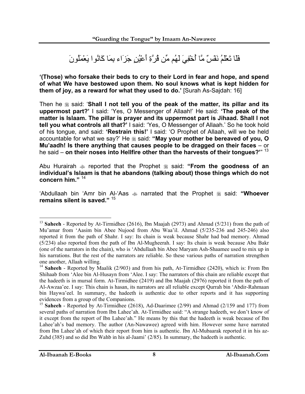فَلَا تَعْلَمُ نَفْسٌ مَّا أُخْفِيَ لَهُم مِّن قُرَّةِ أَعْيُنٍ جَزَاء بِمَا آَانُوا يَعْمَلُونَ

**'(Those) who forsake their beds to cry to their Lord in fear and hope, and spend of what We have bestowed upon them. No soul knows what is kept hidden for them of joy, as a reward for what they used to do.'** [Surah As-Sajdah: 16]

Then he  $\&$  said: 'Shall I not tell you of the peak of the matter, its pillar and its **uppermost part?'** I said: 'Yes, O Messenger of Allaah!' He said: **'The peak of the matter is Islaam. The pillar is prayer and its uppermost part is Jihaad. Shall I not tell you what controls all that?'** I said: 'Yes, O Messenger of Allaah.' So he took hold of his tongue, and said: **'Restrain this!'** I said: 'O Prophet of Allaah, will we be held accountable for what we say?' He  $*$  said: "May your mother be bereaved of you, O **Mu'aadh! Is there anything that causes people to be dragged on their faces** – or he said – **on their noses into Hellfire other than the harvests of their tongues?'**" <sup>13</sup>

Abu Hurairah  $\triangleq$  reported that the Prophet  $\triangleq$  said: "From the goodness of an **individual's Islaam is that he abandons (talking about) those things which do not concern him."** <sup>14</sup>

'Abdullaah bin 'Amr bin Al-'Aas  $\triangleq$  narrated that the Prophet  $\triangleq$  said: "Whoever **remains silent is saved."** <sup>15</sup>

 $\overline{a}$ <sup>13</sup> **Saheeh** - Reported by At-Tirmidhee (2616), Ibn Maajah (2973) and Ahmad (5/231) from the path of Mu'amar from 'Aasim bin Abee Nujood from Abu Waa'il. Ahmad (5/235-236 and 245-246) also reported it from the path of Shahr. I say: Its chain is weak because Shahr had bad memory. Ahmad (5/234) also reported from the path of Ibn Al-Mugheerah. I say: Its chain is weak because Abu Bakr (one of the narrators in the chain), who is 'Abdullaah bin Abee Maryam Ash-Shaamee used to mix up in his narrations. But the rest of the narrators are reliable. So these various paths of narration strengthen one another, Allaah willing.

<sup>&</sup>lt;sup>14</sup> Saheeh - Reported by Maalik (2/903) and from his path, At-Tirmidhee (2420), which is: From Ibn Shihaab from 'Alee bin Al-Husayn from 'Alee. I say: The narrators of this chain are reliable except that the hadeeth is in mursal form. At-Tirmidhee (2419) and Ibn Maajah (2976) reported it from the path of Al-Awzaa'ee. I say: This chain is hasan, its narrators are all reliable except Qurrah bin 'Abdir-Rahmaan bin Haywa'eel. In summary, the hadeeth is authentic due to other reports and it has supporting evidences from a group of the Companions.

<sup>15</sup> **Saheeh** - Reported by At-Tirmidhee (2618), Ad-Daarimee (2/99) and Ahmad (2/159 and 177) from several paths of narration from Ibn Lahee'ah. At-Tirmidhee said: "A strange hadeeth, we don't know of it except from the report of Ibn Lahee'ah." He means by this that the hadeeth is weak because of Ibn Lahee'ah's bad memory. The author (An-Nawawee) agreed with him. However some have narrated from Ibn Lahee'ah of which their report from him is authentic. Ibn Al-Mubaarak reported it in his az-Zuhd (385) and so did Ibn Wahb in his al-Jaami' (2/85). In summary, the hadeeth is authentic.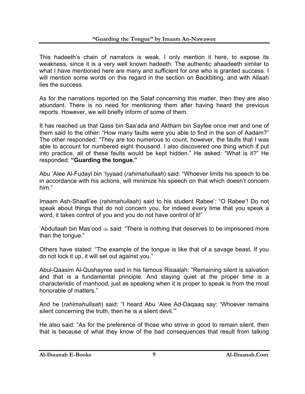This hadeeth's chain of narrators is weak. I only mention it here, to expose its weakness, since it is a very well known hadeeth. The authentic ahaadeeth similar to what I have mentioned here are many and sufficient for one who is granted success. I will mention some words on this regard in the section on Backbiting, and with Allaah lies the success.

As for the narrations reported on the Salaf concerning this matter, then they are also abundant. There is no need for mentioning them after having heard the previous reports. However, we will briefly inform of some of them.

It has reached us that Qass bin Saa'ada and Aktham bin Sayfee once met and one of them said to the other: "How many faults were you able to find in the son of Aadam?" The other responded: "They are too numerous to count, however, the faults that I was able to account for numbered eight thousand. I also discovered one thing which if put into practice, all of these faults would be kept hidden." He asked: "What is it?" He responded: **"Guarding the tongue."**

Abu 'Alee Al-Fudayl bin 'Iyyaad (*rahimahullaah*) said: "Whoever limits his speech to be in accordance with his actions, will minimize his speech on that which doesn't concern him."

Imaam Ash-Shaafi'ee (*rahimahullaah*) said to his student Rabee': "O Rabee'! Do not speak about things that do not concern you, for indeed every time that you speak a word, it takes control of you and you do not have control of it!"

'Abdullaah bin Mas'ood  $\triangleleft$  said: "There is nothing that deserves to be imprisoned more than the tongue."

Others have stated: "The example of the tongue is like that of a savage beast. If you do not lock it up, it will set out against you."

Abul-Qaasim Al-Qushayree said in his famous Risaalah: "Remaining silent is salvation and that is a fundamental principle. And staying quiet at the proper time is a characteristic of manhood, just as speaking when it is proper to speak is from the most honorable of matters."

And he (*rahimahullaah*) said: "I heard Abu 'Alee Ad-Daqaaq say: 'Whoever remains silent concerning the truth, then he is a silent devil.""

He also said: "As for the preference of those who strive in good to remain silent, then that is because of what they know of the bad consequences that result from talking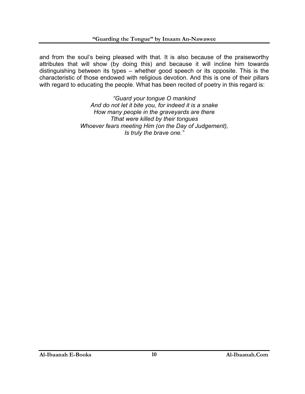and from the soul's being pleased with that. It is also because of the praiseworthy attributes that will show (by doing this) and because it will incline him towards distinguishing between its types – whether good speech or its opposite. This is the characteristic of those endowed with religious devotion. And this is one of their pillars with regard to educating the people. What has been recited of poetry in this regard is:

> *"Guard your tongue O mankind And do not let it bite you, for indeed it is a snake How many people in the graveyards are there Tthat were killed by their tongues Whoever fears meeting Him (on the Day of Judgement), Is truly the brave one."*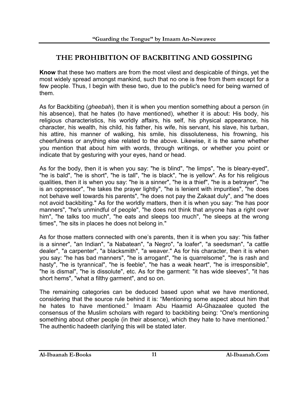#### **THE PROHIBITION OF BACKBITING AND GOSSIPING**

**Know** that these two matters are from the most vilest and despicable of things, yet the most widely spread amongst mankind, such that no one is free from them except for a few people. Thus, I begin with these two, due to the public's need for being warned of them.

As for Backbiting (*gheebah*), then it is when you mention something about a person (in his absence), that he hates (to have mentioned), whether it is about: His body, his religious characteristics, his worldly affairs, his self, his physical appearance, his character, his wealth, his child, his father, his wife, his servant, his slave, his turban, his attire, his manner of walking, his smile, his dissoluteness, his frowning, his cheerfulness or anything else related to the above. Likewise, it is the same whether you mention that about him with words, through writings, or whether you point or indicate that by gesturing with your eyes, hand or head.

As for the body, then it is when you say: "he is blind", "he limps", "he is bleary-eyed", "he is bald", "he is short", "he is tall", "he is black", "he is yellow". As for his religious qualities, then it is when you say: "he is a sinner", "he is a thief", "he is a betrayer", "he is an oppressor", "he takes the prayer lightly", "he is lenient with impurities", "he does not behave well towards his parents", "he does not pay the Zakaat duly", and "he does not avoid backbiting." As for the worldly matters, then it is when you say: "he has poor manners", "he's unmindful of people", "he does not think that anyone has a right over him", "he talks too much", "he eats and sleeps too much", "he sleeps at the wrong times", "he sits in places he does not belong in."

As for those matters connected with one's parents, then it is when you say: "his father is a sinner", "an Indian", "a Nabatean", "a Negro", "a loafer", "a seedsman", "a cattle dealer", "a carpenter", "a blacksmith", "a weaver." As for his character, then it is when you say: "he has bad manners", "he is arrogant", "he is quarrelsome", "he is rash and hasty", "he is tyrannical", "he is feeble", "he has a weak heart", "he is irresponsible", "he is dismal", "he is dissolute", etc. As for the garment: "it has wide sleeves", "it has short hems", "what a filthy garment", and so on.

The remaining categories can be deduced based upon what we have mentioned, considering that the source rule behind it is: "Mentioning some aspect about him that he hates to have mentioned." Imaam Abu Haamid Al-Ghazaalee quoted the consensus of the Muslim scholars with regard to backbiting being: "One's mentioning something about other people (in their absence), which they hate to have mentioned." The authentic hadeeth clarifying this will be stated later.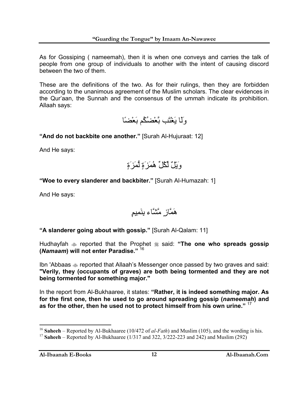As for Gossiping ( nameemah), then it is when one conveys and carries the talk of people from one group of individuals to another with the intent of causing discord between the two of them.

These are the definitions of the two. As for their rulings, then they are forbidden according to the unanimous agreement of the Muslim scholars. The clear evidences in the Qur'aan, the Sunnah and the consensus of the ummah indicate its prohibition. Allaah says:

وَلَا يَغْتَب بَّعْضُكُم بَعْضًا

**"And do not backbite one another."** [Surah Al-Hujuraat: 12]

And He says:

وَيْلٌ لِّكُلِّ هُمَزَةٍ لُّمَزَةٍ

**"Woe to every slanderer and backbiter."** [Surah Al-Humazah: 1]

And He says:

هَمَّازٍ مَّشَّاء بِنَمِيمٍ

**"A slanderer going about with gossip."** [Surah Al-Qalam: 11]

Hudhayfah  $\triangleq$  reported that the Prophet  $\triangleq$  said: "The one who spreads gossip **(***Namaam***) will not enter Paradise."** <sup>16</sup>

Ibn 'Abbaas  $\triangleq$  reported that Allaah's Messenger once passed by two graves and said: **"Verily, they (occupants of graves) are both being tormented and they are not being tormented for something major."**

In the report from Al-Bukhaaree, it states: **"Rather, it is indeed something major. As for the first one, then he used to go around spreading gossip (***nameemah***) and as for the other, then he used not to protect himself from his own urine."** <sup>17</sup>

**Al-Ibaanah E-Books 12 Al-Ibaanah.Com** 

 $\overline{a}$ <sup>16</sup> **Saheeh** – Reported by Al-Bukhaaree (10/472 of *al-Fath*) and Muslim (105), and the wording is his.

<sup>17</sup> **Saheeh** – Reported by Al-Bukhaaree (1/317 and 322, 3/222-223 and 242) and Muslim (292)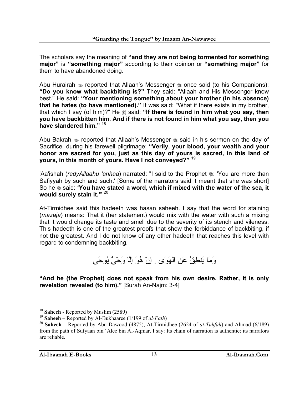The scholars say the meaning of **"and they are not being tormented for something major"** is **"something major"** according to their opinion or **"something major"** for them to have abandoned doing.

Abu Hurairah  $\triangleq$  reported that Allaah's Messenger  $\triangleq$  once said (to his Companions): **"Do you know what backbiting is?"** They said: "Allaah and His Messenger know best." He said: **"Your mentioning something about your brother (in his absence) that he hates (to have mentioned)."** It was said: "What if there exists in my brother, that which I say (of him)?" He  $\&$  said: "If there is found in him what you say, then **you have backbitten him. And if there is not found in him what you say, then you have slandered him."** <sup>18</sup>

Abu Bakrah  $\triangleq$  reported that Allaah's Messenger  $\triangleq$  said in his sermon on the day of Sacrifice, during his farewell pilgrimage: **"Verily, your blood, your wealth and your honor are sacred for you, just as this day of yours is sacred, in this land of yours, in this month of yours. Have I not conveyed?"** <sup>19</sup>

'Aa'ishah (*radyAllaahu 'anhaa*) narrated: "I said to the Prophet  $\frac{1}{20}$ : 'You are more than Safiyyah by such and such.' [Some of the narrators said it meant that she was short] So he  $\ddot{\textbf{x}}$  said: **'You have stated a word, which if mixed with the water of the sea, it would surely stain it.'**" 20

At-Tirmidhee said this hadeeth was hasan saheeh. I say that the word for staining (*mazaja*) means: That it (her statement) would mix with the water with such a mixing that it would change its taste and smell due to the severity of its stench and vileness. This hadeeth is one of the greatest proofs that show the forbiddance of backbiting, if not **the** greatest. And I do not know of any other hadeeth that reaches this level with regard to condemning backbiting.

وَمَا يَنطِقُ عَنِ الْهَوَى . إِنْ هُوَ إِلَّا وَحْيٌ يُوحَى

**"And he (the Prophet) does not speak from his own desire. Rather, it is only revelation revealed (to him)."** [Surah An-Najm: 3-4]

<sup>18</sup> **Saheeh** - Reported by Muslim (2589)

<sup>19</sup> **Saheeh** – Reported by Al-Bukhaaree (1/199 of *al-Fath*)

<sup>20</sup> **Saheeh** – Reported by Abu Dawood (4875), At-Tirmidhee (2624 of *at-Tuhfah*) and Ahmad (6/189) from the path of Sufyaan bin 'Alee bin Al-Aqmar. I say: Its chain of narration is authentic; its narrators are reliable.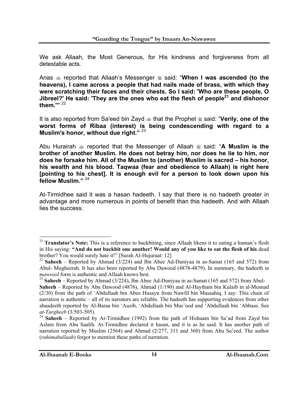We ask Allaah, the Most Generous, for His kindness and forgiveness from all detestable acts.

Anas  $\triangle$  reported that Allaah's Messenger  $\triangleq$  said: "When I was ascended (to the **heavens), I came across a people that had nails made of brass, with which they were scratching their faces and their chests. So I said: 'Who are these people, O Jibreel?' He said: 'They are the ones who eat the flesh of people21 and dishonor them.'"** <sup>22</sup>

It is also reported from Sa'eed bin Zayd  $\triangleq$  that the Prophet  $\triangleq$  said: "**Verily, one of the worst forms of Ribaa (interest) is being condescending with regard to a Muslim's honor, without due right."** <sup>23</sup>

Abu Hurairah  $\approx$  reported that the Messenger of Allaah  $\approx$  said: "A Muslim is the **brother of another Muslim. He does not betray him, nor does he lie to him, nor does he forsake him. All of the Muslim to (another) Muslim is sacred – his honor, his wealth and his blood. Taqwaa (fear and obedience to Allaah) is right here [pointing to his chest]. It is enough evil for a person to look down upon his fellow Muslim."** <sup>24</sup>

At-Tirmidhee said it was a hasan hadeeth. I say that there is no hadeeth greater in advantage and more numerous in points of benefit than this hadeeth. And with Allaah lies the success.

<sup>&</sup>lt;sup>21</sup> **Translator's Note:** This is a reference to backbiting, since Allaah likens it to eating a human's flesh in His saying: **"And do not backbit one another! Would any of you like to eat the flesh of his** dead brother? You would surely hate it!" [Surah Al-Hujuraat: 12]

<sup>&</sup>lt;sup>22</sup> **Saheeh** – Reported by Ahmad (3/224) and Ibn Abee Ad-Duniyaa in as-Samat (165 and 572) from Abul- Mugheerah. It has also been reported by Abu Dawood (4878-4879). In summary, the hadeeth in *mawsool* form is authentic and Allaah knows best.

<sup>23</sup> **Saheeh** – Reported by Ahmad (3/224), Ibn Abee Ad-Duniyaa in as-Samat (165 and 572) from Abul-

**Saheeh** – Reported by Abu Dawood (4876), Ahmad (1/190) and Al-Haytham bin Kulaib in al-Musnad (2/30) from the path of 'Abdullaah bin Abee Husayn from Nawfil bin Masaahiq. I say: This chain of narration is authentic – all of its narrators are reliable. The hadeeth has supporting evidences from other ahaadeeth reported by Al-Baraa bin 'Aazib, 'Abdullaah bin Mas'ood and 'Abdullaah bin 'Abbaas. See *at-Targheeb* (3/503-505).

<sup>&</sup>lt;sup>24</sup> Saheeh – Reported by At-Tirmidhee (1992) from the path of Hishaam bin Sa'ad from Zayd bin Aslam from Abu Saalih. At-Tirmidhee declared it hasan, and it is as he said. It has another path of narration reported by Muslim (2564) and Ahmad (2/277, 311 and 360) from Abu Sa'eed. The author (*rahimahullaah*) forgot to mention these paths of narration.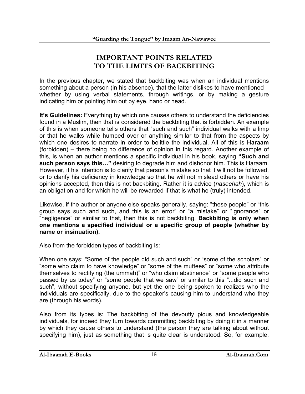#### **IMPORTANT POINTS RELATED TO THE LIMITS OF BACKBITING**

In the previous chapter, we stated that backbiting was when an individual mentions something about a person (in his absence), that the latter dislikes to have mentioned – whether by using verbal statements, through writings, or by making a gesture indicating him or pointing him out by eye, hand or head.

**It's Guidelines:** Everything by which one causes others to understand the deficiencies found in a Muslim, then that is considered the backbiting that is forbidden. An example of this is when someone tells others that "such and such" individual walks with a limp or that he walks while humped over or anything similar to that from the aspects by which one desires to narrate in order to belittle the individual. All of this is H**araam**  (forbidden) – there being no difference of opinion in this regard. Another example of this, is when an author mentions a specific individual in his book, saying **"Such and such person says this…"** desiring to degrade him and dishonor him. This is Haraam. However, if his intention is to clarify that person's mistake so that it will not be followed, or to clarify his deficiency in knowledge so that he will not mislead others or have his opinions accepted, then this is not backbiting. Rather it is advice (*naseehah*), which is an obligation and for which he will be rewarded if that is what he (truly) intended.

Likewise, if the author or anyone else speaks generally, saying: "these people" or "this group says such and such, and this is an error" or "a mistake" or "ignorance" or "negligence" or similar to that, then this is not backbiting. **Backbiting is only when one mentions a specified individual or a specific group of people (whether by name or insinuation).**

Also from the forbidden types of backbiting is:

When one says: "Some of the people did such and such" or "some of the scholars" or "some who claim to have knowledge" or "some of the muftees" or "some who attribute themselves to rectifying (the ummah)" or "who claim abstinence" or "some people who passed by us today" or "some people that we saw" or similar to this "...did such and such", without specifying anyone, but yet the one being spoken to realizes who the individuals are specifically, due to the speaker's causing him to understand who they are (through his words).

Also from its types is: The backbiting of the devoutly pious and knowledgeable individuals, for indeed they turn towards committing backbiting by doing it in a manner by which they cause others to understand (the person they are talking about without specifying him), just as something that is quite clear is understood. So, for example,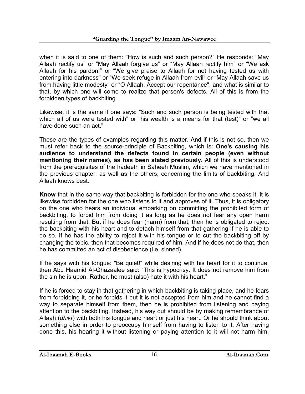when it is said to one of them: "How is such and such person?" He responds: "May Allaah rectify us" or "May Allaah forgive us" or "May Allaah rectify him" or "We ask Allaah for his pardon!" or "We give praise to Allaah for not having tested us with entering into darkness" or "We seek refuge in Allaah from evil" or "May Allaah save us from having little modesty" or "O Allaah, Accept our repentance", and what is similar to that, by which one will come to realize that person's defects. All of this is from the forbidden types of backbiting.

Likewise, it is the same if one says: "Such and such person is being tested with that which all of us were tested with" or "his wealth is a means for that (test)" or "we all have done such an act."

These are the types of examples regarding this matter. And if this is not so, then we must refer back to the source-principle of Backbiting, which is: **One's causing his audience to understand the defects found in certain people (even without mentioning their names), as has been stated previously.** All of this is understood from the prerequisites of the hadeeth in Saheeh Muslim, which we have mentioned in the previous chapter, as well as the others, concerning the limits of backbiting. And Allaah knows best.

**Know** that in the same way that backbiting is forbidden for the one who speaks it, it is likewise forbidden for the one who listens to it and approves of it. Thus, it is obligatory on the one who hears an individual embarking on committing the prohibited form of backbiting, to forbid him from doing it as long as he does not fear any open harm resulting from that. But if he does fear (harm) from that, then he is obligated to reject the backbiting with his heart and to detach himself from that gathering if he is able to do so. If he has the ability to reject it with his tongue or to cut the backbiting off by changing the topic, then that becomes required of him. And if he does not do that, then he has committed an act of disobedience (i.e. sinned).

If he says with his tongue: "Be quiet!" while desiring with his heart for it to continue, then Abu Haamid Al-Ghazaalee said: "This is hypocrisy. It does not remove him from the sin he is upon. Rather, he must (also) hate it with his heart."

If he is forced to stay in that gathering in which backbiting is taking place, and he fears from forbidding it, or he forbids it but it is not accepted from him and he cannot find a way to separate himself from them, then he is prohibited from listening and paying attention to the backbiting. Instead, his way out should be by making remembrance of Allaah (*dhikr*) with both his tongue and heart or just his heart. Or he should think about something else in order to preoccupy himself from having to listen to it. After having done this, his hearing it without listening or paying attention to it will not harm him,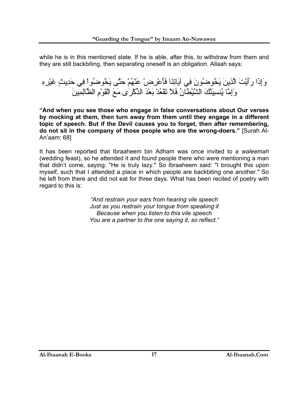while he is in this mentioned state. If he is able, after this, to withdraw from them and they are still backbiting, then separating oneself is an obligation. Allaah says:

وَإِذَا رَأَيْتَ الَّذِينَ يَخُوضُونَ فِي آيَاتِنَا فَأَعْرِضْ عَنْهُمْ حَتَّى يَخُوضُواْ فِي حَدِيثٍ غَيْرِهِ وَإِمَّا يُنسِيَنَّكَ الشَّيْطَانُ فَلاَ تَقْعُدْ بَعْدَ الذِّآْرَى مَعَ الْقَوْمِ الظَّالِمِينَ

**"And when you see those who engage in false conversations about Our verses by mocking at them, then turn away from them until they engage in a different topic of speech. But if the Devil causes you to forget, then after remembering, do not sit in the company of those people who are the wrong-doers."** [Surah Al-An'aam: 68]

It has been reported that Ibraaheem bin Adham was once invited to a *waleemah*  (wedding feast), so he attended it and found people there who were mentioning a man that didn't come, saying: "He is truly lazy." So Ibraaheem said: "I brought this upon myself, such that I attended a place in which people are backbiting one another." So he left from there and did not eat for three days. What has been recited of poetry with regard to this is:

> *"And restrain your ears from hearing vile speech Just as you restrain your tongue from speaking it Because when you listen to this vile speech You are a partner to the one saying it, so reflect."*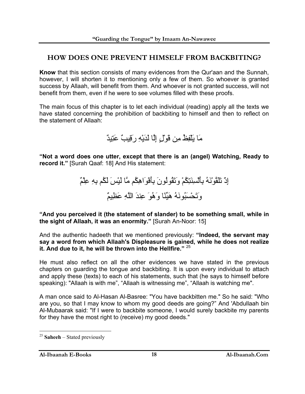#### **HOW DOES ONE PREVENT HIMSELF FROM BACKBITING?**

**Know** that this section consists of many evidences from the Qur'aan and the Sunnah, however, I will shorten it to mentioning only a few of them. So whoever is granted success by Allaah, will benefit from them. And whoever is not granted success, will not benefit from them, even if he were to see volumes filled with these proofs.

The main focus of this chapter is to let each individual (reading) apply all the texts we have stated concerning the prohibition of backbiting to himself and then to reflect on the statement of Allaah:

مَا يَلْفِظُ مِن قَوْلٍ إِلَّا لَدَيْهِ رَقِيبٌ عَتِيدٌ

**"Not a word does one utter, except that there is an (angel) Watching, Ready to record it."** [Surah Qaaf: 18] And His statement:

> إِذْ تَلَقَّوْنَهُ بِأَلْسِنَتِكُمْ وَتَقُولُونَ بِأَفْوَاهِكُم مَّا لَيْسَ لَكُم بِهِ عِلْمٌ وَتَحْسَبُونَهُ هَيِّنًا وَهُوَ عِندَ اللَّهِ عَظِيمٌ

**"And you perceived it (the statement of slander) to be something small, while in the sight of Allaah, it was an enormity."** [Surah An-Noor: 15]

And the authentic hadeeth that we mentioned previously: **"Indeed, the servant may say a word from which Allaah's Displeasure is gained, while he does not realize it. And due to it, he will be thrown into the Hellfire."** <sup>25</sup>

He must also reflect on all the other evidences we have stated in the previous chapters on guarding the tongue and backbiting. It is upon every individual to attach and apply these (texts) to each of his statements, such that (he says to himself before speaking): "Allaah is with me", "Allaah is witnessing me", "Allaah is watching me".

A man once said to Al-Hasan Al-Basree: "You have backbitten me." So he said: "Who are you, so that I may know to whom my good deeds are going?" And 'Abdullaah bin Al-Mubaarak said: "If I were to backbite someone, I would surely backbite my parents for they have the most right to (receive) my good deeds."

<sup>25</sup> **Saheeh** – Stated previously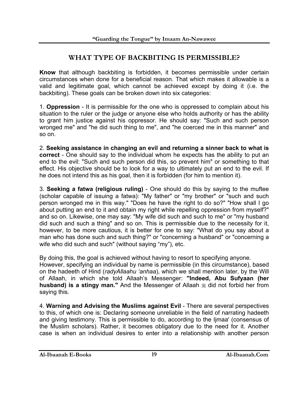#### **WHAT TYPE OF BACKBITING IS PERMISSIBLE?**

**Know** that although backbiting is forbidden, it becomes permissible under certain circumstances when done for a beneficial reason. That which makes it allowable is a valid and legitimate goal, which cannot be achieved except by doing it (i.e. the backbiting). These goals can be broken down into six categories:

1. **Oppression** - It is permissible for the one who is oppressed to complain about his situation to the ruler or the judge or anyone else who holds authority or has the ability to grant him justice against his oppressor. He should say: "Such and such person wronged me" and "he did such thing to me", and "he coerced me in this manner" and so on.

2. **Seeking assistance in changing an evil and returning a sinner back to what is correct** - One should say to the individual whom he expects has the ability to put an end to the evil: "Such and such person did this, so prevent him" or something to that effect. His objective should be to look for a way to ultimately put an end to the evil. If he does not intend this as his goal, then it is forbidden (for him to mention it).

3. **Seeking a fatwa (religious ruling)** - One should do this by saying to the muftee (scholar capable of issuing a fatwa): "My father" or "my brother" or "such and such person wronged me in this way." "Does he have the right to do so?" "How shall I go about putting an end to it and obtain my right while repelling oppression from myself?" and so on. Likewise, one may say: "My wife did such and such to me" or "my husband did such and such a thing" and so on. This is permissible due to the necessity for it, however, to be more cautious, it is better for one to say: "What do you say about a man who has done such and such thing?" or "concerning a husband" or "concerning a wife who did such and such" (without saying "my"), etc.

By doing this, the goal is achieved without having to resort to specifying anyone. However, specifying an individual by name is permissible (in this circumstance), based on the hadeeth of Hind (*radyAllaahu 'anhaa*), which we shall mention later, by the Will of Allaah, in which she told Allaah's Messenger: **"Indeed, Abu Sufyaan (her husband) is a stingy man."** And the Messenger of Allaah  $\frac{4}{36}$  did not forbid her from

4. **Warning and Advising the Muslims against Evil** - There are several perspectives to this, of which one is: Declaring someone unreliable in the field of narrating hadeeth and giving testimony. This is permissible to do, according to the Ijmaa' (consensus of the Muslim scholars). Rather, it becomes obligatory due to the need for it. Another case is when an individual desires to enter into a relationship with another person

saying this.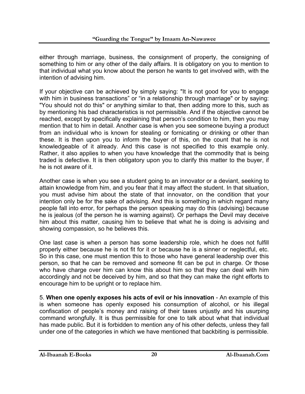either through marriage, business, the consignment of property, the consigning of something to him or any other of the daily affairs. It is obligatory on you to mention to that individual what you know about the person he wants to get involved with, with the intention of advising him.

If your objective can be achieved by simply saying: "It is not good for you to engage with him in business transactions" or "in a relationship through marriage" or by saying: "You should not do this" or anything similar to that, then adding more to this, such as by mentioning his bad characteristics is not permissible. And if the objective cannot be reached, except by specifically explaining that person's condition to him, then you may mention that to him in detail. Another case is when you see someone buying a product from an individual who is known for stealing or fornicating or drinking or other than these. It is then upon you to inform the buyer of this, on the count that he is not knowledgeable of it already. And this case is not specified to this example only. Rather, it also applies to when you have knowledge that the commodity that is being traded is defective. It is then obligatory upon you to clarify this matter to the buyer, if he is not aware of it.

Another case is when you see a student going to an innovator or a deviant, seeking to attain knowledge from him, and you fear that it may affect the student. In that situation, you must advise him about the state of that innovator, on the condition that your intention only be for the sake of advising. And this is something in which regard many people fall into error, for perhaps the person speaking may do this (advising) because he is jealous (of the person he is warning against). Or perhaps the Devil may deceive him about this matter, causing him to believe that what he is doing is advising and showing compassion, so he believes this.

One last case is when a person has some leadership role, which he does not fulfill properly either because he is not fit for it or because he is a sinner or neglectful, etc. So in this case, one must mention this to those who have general leadership over this person, so that he can be removed and someone fit can be put in charge. Or those who have charge over him can know this about him so that they can deal with him accordingly and not be deceived by him, and so that they can make the right efforts to encourage him to be upright or to replace him.

5. **When one openly exposes his acts of evil or his innovation** - An example of this is when someone has openly exposed his consumption of alcohol, or his illegal confiscation of people's money and raising of their taxes unjustly and his usurping command wrongfully. It is thus permissible for one to talk about what that individual has made public. But it is forbidden to mention any of his other defects, unless they fall under one of the categories in which we have mentioned that backbiting is permissible.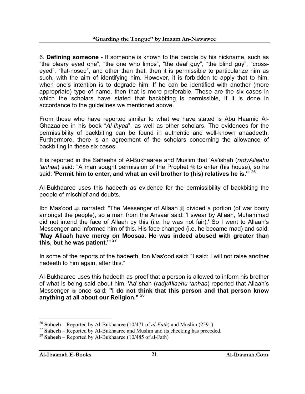6. **Defining someone** - If someone is known to the people by his nickname, such as "the bleary eyed one", "the one who limps", "the deaf guy", "the blind guy", "crosseyed", "flat-nosed", and other than that, then it is permissible to particularize him as such, with the aim of identifying him. However, it is forbidden to apply that to him, when one's intention is to degrade him. If he can be identified with another (more appropriate) type of name, then that is more preferable. These are the six cases in which the scholars have stated that backbiting is permissible, if it is done in accordance to the guidelines we mentioned above.

From those who have reported similar to what we have stated is Abu Haamid Al-Ghazaalee in his book "*Al-Ihyaa*", as well as other scholars. The evidences for the permissibility of backbiting can be found in authentic and well-known ahaadeeth. Furthermore, there is an agreement of the scholars concerning the allowance of backbiting in these six cases.

It is reported in the Saheehs of Al-Bukhaaree and Muslim that 'Aa'ishah (*radyAllaahu 'anhaa*) said: "A man sought permission of the Prophet  $\frac{1}{20}$  to enter (his house), so he said: **'Permit him to enter, and what an evil brother to (his) relatives he is.'**" 26

Al-Bukhaaree uses this hadeeth as evidence for the permissibility of backbiting the people of mischief and doubts.

Ibn Mas'ood  $\triangleq$  narrated: "The Messenger of Allaah  $\triangleq$  divided a portion (of war booty amongst the people), so a man from the Ansaar said: 'I swear by Allaah, Muhammad did not intend the face of Allaah by this (i.e. he was not fair).' So I went to Allaah's Messenger and informed him of this. His face changed (i.e. he became mad) and said: **'May Allaah have mercy on Moosaa. He was indeed abused with greater than this, but he was patient.'**" 27

In some of the reports of the hadeeth, Ibn Mas'ood said: "I said: I will not raise another hadeeth to him again, after this."

Al-Bukhaaree uses this hadeeth as proof that a person is allowed to inform his brother of what is being said about him. 'Aa'ishah (*radyAllaahu 'anhaa*) reported that Allaah's Messenger  $*$  once said: "I do not think that this person and that person know **anything at all about our Religion."** <sup>28</sup>

<sup>26</sup> **Saheeh** – Reported by Al-Bukhaaree (10/471 of *al-Fath*) and Muslim (2591)

<sup>&</sup>lt;sup>27</sup> Saheeh – Reported by Al-Bukhaaree and Muslim and its checking has preceded.

<sup>28</sup> **Saheeh** – Reported by Al-Bukhaaree (10/485 of al-Fath)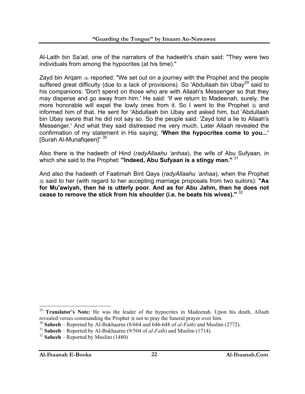Al-Laith bin Sa'ad, one of the narrators of the hadeeth's chain said: "They were two individuals from among the hypocrites (at his time)."

Zayd bin Argam  $\triangleq$  reported: "We set out on a journey with the Prophet and the people suffered great difficulty (due to a lack of provisions). So 'Abdullaah bin Ubay<sup>29</sup> said to his companions: 'Don't spend on those who are with Allaah's Messenger so that they may disperse and go away from him.' He said: 'If we return to Madeenah, surely, the more honorable will expel the lowly ones from it. So I went to the Prophet  $\frac{4}{36}$  and informed him of that. He sent for 'Abdullaah bin Ubay and asked him, but 'Abdullaah bin Ubay swore that he did not say so. So the people said: 'Zayd told a lie to Allaah's Messenger.' And what they said distressed me very much. Later Allaah revealed the confirmation of my statement in His saying; **'When the hypocrites come to you...'**  [Surah Al-Munafiqeen]" 30

Also there is the hadeeth of Hind (*radyAllaahu 'anhaa*), the wife of Abu Sufyaan, in which she said to the Prophet: **"Indeed, Abu Sufyaan is a stingy man."** <sup>31</sup>

And also the hadeeth of Faatimah Bint Qays (*radyAllaahu 'anhaa*), when the Prophet said to her (with regard to her accepting marriage proposals from two suitors): **"As for Mu'awiyah, then he is utterly poor. And as for Abu Jahm, then he does not cease to remove the stick from his shoulder (i.e. he beats his wives)."** <sup>32</sup>

<sup>&</sup>lt;sup>29</sup> **Translator's Note:** He was the leader of the hypocrites in Madeenah. Upon his death, Allaah revealed verses commanding the Prophet  $\frac{1}{20}$  not to pray the funeral prayer over him.

<sup>30</sup> **Saheeh** – Reported by Al-Bukhaaree (8/664 and 646-648 of *al-Fath*) and Muslim (2772).

<sup>31</sup> **Saheeh** – Reported by Al-Bukhaaree (9/504 of *al-Fath*) and Muslim (1714).

<sup>32</sup> **Saheeh** – Reported by Muslim (1480)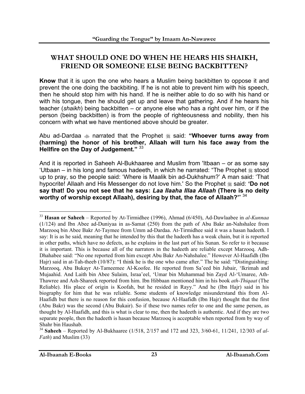#### **WHAT SHOULD ONE DO WHEN HE HEARS HIS SHAIKH, FRIEND OR SOMEONE ELSE BEING BACKBITTEN?**

**Know** that it is upon the one who hears a Muslim being backbitten to oppose it and prevent the one doing the backbiting. If he is not able to prevent him with his speech, then he should stop him with his hand. If he is neither able to do so with his hand or with his tongue, then he should get up and leave that gathering. And if he hears his teacher (*shaikh*) being backbitten – or anyone else who has a right over him, or if the person (being backbitten) is from the people of righteousness and nobility, then his concern with what we have mentioned above should be greater.

Abu ad-Dardaa narrated that the Prophet said: **"Whoever turns away from (harming) the honor of his brother, Allaah will turn his face away from the Hellfire on the Day of Judgement."** <sup>33</sup>

And it is reported in Saheeh Al-Bukhaaree and Muslim from 'Itbaan – or as some say 'Utbaan – in his long and famous hadeeth, in which he narrated: "The Prophet  $\equiv$  stood up to pray, so the people said: 'Where is Maalik bin ad-Dukhshum?' A man said: 'That hypocrite! Allaah and His Messenger do not love him.' So the Prophet  $\frac{1}{26}$  said: 'Do not **say that! Do you not see that he says:** *Laa Ilaaha Illaa Allaah* **(There is no deity worthy of worship except Allaah), desiring by that, the face of Allaah?'**" 34

<sup>33</sup> **Hasan or Saheeh** – Reported by At-Tirmidhee (1996), Ahmad (6/450), Ad-Dawlaabee in *al-Kunnaa* (1/124) and Ibn Abee ad-Duniyaa in as-Samat (250) from the path of Abu Bakr an-Nahshalee from Marzooq bin Abee Bakr At-Taymee from Umm ad-Dardaa. At-Tirmidhee said it was a hasan hadeeth. I say: It is as he said, meaning that he intended by this that the hadeeth has a weak chain, but it is reported in other paths, which have no defects, as he explains in the last part of his Sunan. So refer to it because it is important. This is because all of the narrators in the hadeeth are reliable except Marzooq. Adh-Dhahabee said: "No one reported from him except Abu Bakr An-Nahshalee." However Al-Haafidh (Ibn Hajr) said in at-Tah-theeb (10/87): "I think he is the one who came after." The he said: "Distinguishing: Marzooq, Abu Bukayr At-Tameemee Al-Koofee. He reported from Sa'eed bin Jubair, 'Ikrimah and Mujaahid. And Laith bin Abee Sulaim, Israa'eel, 'Umar bin Muhammad bin Zayd Al-'Umaree, Ath-Thawree and Ash-Shareek reported from him. Ibn Hibbaan mentioned him in his book *ath-Thiqaat* (The Reliable). His place of origin is Koofah, but he resided in Rayy." And he (Ibn Hajr) said in his biography for him that he was reliable. Some students of knowledge misunderstand this from Al-Haafidh but there is no reason for this confusion, because Al-Haafidh (Ibn Hajr) thought that the first (Abu Bakr) was the second (Abu Bukair). So if these two names refer to one and the same person, as thought by Al-Haafidh, and this is what is clear to me, then the hadeeth is authentic. And if they are two separate people, then the hadeeth is hasan because Marzooq is acceptable when reported from by way of Shahr bin Haushab.

<sup>34</sup> **Saheeh** – Reported by Al-Bukhaaree (1/518, 2/157 and 172 and 323, 3/60-61, 11/241, 12/303 of *al-Fath*) and Muslim (33)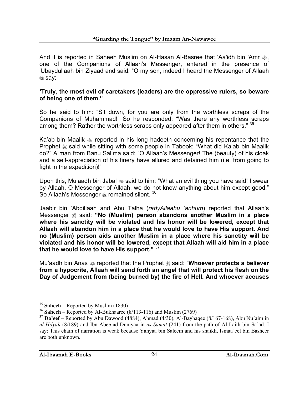And it is reported in Saheeh Muslim on Al-Hasan Al-Basree that 'Aa'idh bin 'Amr  $\ddot{\phi}$ , one of the Companions of Allaah's Messenger, entered in the presence of 'Ubaydullaah bin Ziyaad and said: "O my son, indeed I heard the Messenger of Allaah **ﷺ** say:

#### **'Truly, the most evil of caretakers (leaders) are the oppressive rulers, so beware of being one of them.'**"

So he said to him: "Sit down, for you are only from the worthless scraps of the Companions of Muhammad!" So he responded: "Was there any worthless scraps among them? Rather the worthless scraps only appeared after them in others." 35

Ka'ab bin Maalik  $\triangleleft$  reported in his long hadeeth concerning his repentance that the Prophet  $\frac{1}{20}$  said while sitting with some people in Tabook: "What did Ka'ab bin Maalik do?" A man from Banu Salima said: "O Allaah's Messenger! The (beauty) of his cloak and a self-appreciation of his finery have allured and detained him (i.e. from going to fight in the expedition)!"

Upon this, Mu'aadh bin Jabal  $\ast$  said to him: "What an evil thing you have said! I swear by Allaah, O Messenger of Allaah, we do not know anything about him except good." So Allaah's Messenger  $\frac{1}{26}$  remained silent. <sup>36</sup>

Jaabir bin 'Abdillaah and Abu Talha (*radyAllaahu 'anhum*) reported that Allaah's Messenger  $*$  said: "No (Muslim) person abandons another Muslim in a place **where his sanctity will be violated and his honor will be lowered, except that Allaah will abandon him in a place that he would love to have His support. And no (Muslim) person aids another Muslim in a place where his sanctity will be violated and his honor will be lowered, except that Allaah will aid him in a place that he would love to have His support."** <sup>37</sup>

Mu'aadh bin Anas  $\triangleq$  reported that the Prophet  $\triangleq$  said: "Whoever protects a believer **from a hypocrite, Allaah will send forth an angel that will protect his flesh on the Day of Judgement from (being burned by) the fire of Hell. And whoever accuses** 

<sup>35</sup> **Saheeh** – Reported by Muslim (1830)

<sup>36</sup> **Saheeh** – Reported by Al-Bukhaaree (8/113-116) and Muslim (2769)

<sup>37</sup> **Da'eef** – Reported by Abu Dawood (4884), Ahmad (4/30), Al-Bayhaqee (8/167-168), Abu Nu'aim in *al-Hilyah* (8/189) and Ibn Abee ad-Duniyaa in *as-Samat* (241) from the path of Al-Laith bin Sa'ad. I say: This chain of narration is weak because Yahyaa bin Saleem and his shaikh, Ismaa'eel bin Basheer are both unknown.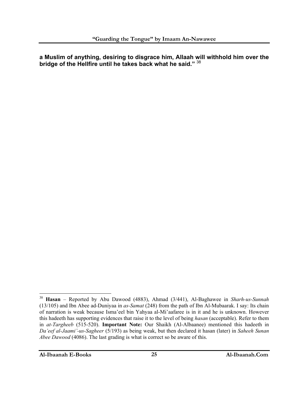**a Muslim of anything, desiring to disgrace him, Allaah will withhold him over the bridge of the Hellfire until he takes back what he said."** <sup>38</sup>

 $\overline{a}$ <sup>38</sup> **Hasan** – Reported by Abu Dawood (4883), Ahmad (3/441), Al-Baghawee in *Sharh-us-Sunnah*  (13/105) and Ibn Abee ad-Duniyaa in *as-Samat* (248) from the path of Ibn Al-Mubaarak. I say: Its chain of narration is weak because Isma'eel bin Yahyaa al-Mi'aafaree is in it and he is unknown. However this hadeeth has supporting evidences that raise it to the level of being *hasan* (acceptable). Refer to them in *at-Targheeb* (515-520). **Important Note:** Our Shaikh (Al-Albaanee) mentioned this hadeeth in *Da'eef al-Jaami'-us-Sagheer* (5/193) as being weak, but then declared it hasan (later) in *Saheeh Sunan Abee Dawood* (4086). The last grading is what is correct so be aware of this.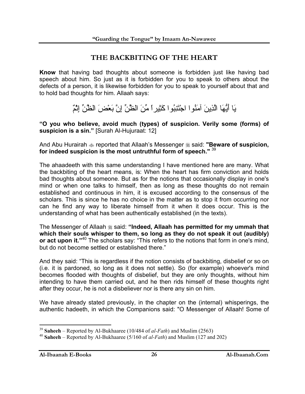#### **THE BACKBITING OF THE HEART**

**Know** that having bad thoughts about someone is forbidden just like having bad speech about him. So just as it is forbidden for you to speak to others about the defects of a person, it is likewise forbidden for you to speak to yourself about that and to hold bad thoughts for him. Allaah says:

يَا أَيُّهَا الَّذِينَ آمَنُوا اجْتَنِبُوا آَثِيراً مِّنَ الظَّنِّ إِنَّ بَعْضَ الظَّنِّ إِثْمٌ

**"O you who believe, avoid much (types) of suspicion. Verily some (forms) of suspicion is a sin."** [Surah Al-Hujuraat: 12]

And Abu Hurairah  $\triangleq$  reported that Allaah's Messenger  $\triangleq$  said: "Beware of suspicion, **for indeed suspicion is the most untruthful form of speech."** <sup>39</sup>

The ahaadeeth with this same understanding I have mentioned here are many. What the backbiting of the heart means, is: When the heart has firm conviction and holds bad thoughts about someone. But as for the notions that occasionally display in one's mind or when one talks to himself, then as long as these thoughts do not remain established and continuous in him, it is excused according to the consensus of the scholars. This is since he has no choice in the matter as to stop it from occurring nor can he find any way to liberate himself from it when it does occur. This is the understanding of what has been authentically established (in the texts).

The Messenger of Allaah  $*$  said: "Indeed, Allaah has permitted for my ummah that **which their souls whisper to them, so long as they do not speak it out (audibly) or act upon it."**<sup>40</sup> The scholars say: "This refers to the notions that form in one's mind, but do not become settled or established there."

And they said: "This is regardless if the notion consists of backbiting, disbelief or so on (i.e. it is pardoned, so long as it does not settle). So (for example) whoever's mind becomes flooded with thoughts of disbelief, but they are only thoughts, without him intending to have them carried out, and he then rids himself of these thoughts right after they occur, he is not a disbeliever nor is there any sin on him.

We have already stated previously, in the chapter on the (internal) whisperings, the authentic hadeeth, in which the Companions said: "O Messenger of Allaah! Some of

<sup>39</sup> **Saheeh** – Reported by Al-Bukhaaree (10/484 of *al-Fath*) and Muslim (2563)

<sup>40</sup> **Saheeh** – Reported by Al-Bukhaaree (5/160 of *al-Fath*) and Muslim (127 and 202)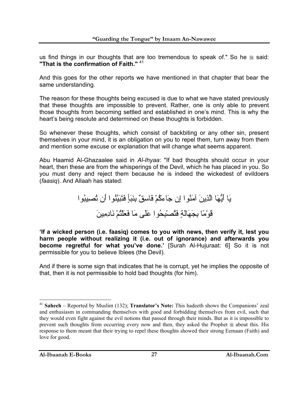us find things in our thoughts that are too tremendous to speak of." So he  $*$  said: **"That is the confirmation of Faith."** <sup>41</sup>

And this goes for the other reports we have mentioned in that chapter that bear the same understanding.

The reason for these thoughts being excused is due to what we have stated previously that these thoughts are impossible to prevent. Rather, one is only able to prevent those thoughts from becoming settled and established in one's mind. This is why the heart's being resolute and determined on these thoughts is forbidden.

So whenever these thoughts, which consist of backbiting or any other sin, present themselves in your mind, it is an obligation on you to repel them, turn away from them and mention some excuse or explanation that will change what seems apparent.

Abu Haamid Al-Ghazaalee said in *Al-Ihyaa*: "If bad thoughts should occur in your heart, then these are from the whisperings of the Devil, which he has placed in you. So you must deny and reject them because he is indeed the wickedest of evildoers (*faasiq*). And Allaah has stated:

يَا أَيُّهَا الَّذِينَ آمَنُوا إِن جَاءآُمْ فَاسِقٌ بِنَبَأٍ فَتَبَيَّنُوا أَن تُصِيبُوا قَوْمًا بِجَهَالَةٍ فَتُصْبِحُوا عَلَى مَا فَعَلْتُمْ نَادِمِينَ

**'If a wicked person (i.e. faasiq) comes to you with news, then verify it, lest you harm people without realizing it (i.e. out of ignorance) and afterwards you become regretful for what you've done.'** [Surah Al-Hujuraat: 6] So it is not permissible for you to believe Iblees (the Devil).

And if there is some sign that indicates that he is corrupt, yet he implies the opposite of that, then it is not permissible to hold bad thoughts (for him).

 $\overline{a}$ <sup>41</sup> **Saheeh** – Reported by Muslim (132); **Translator's Note:** This hadeeth shows the Companions' zeal and enthusiasm in commanding themselves with good and forbidding themselves from evil, such that they would even fight against the evil notions that passed through their minds. But as it is impossible to prevent such thoughts from occurring every now and then, they asked the Prophet  $\frac{1}{20}$  about this. His response to them meant that their trying to repel these thoughts showed their strong Eemaan (Faith) and love for good.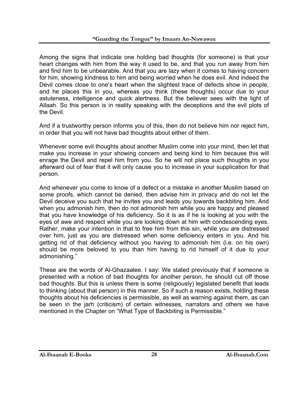Among the signs that indicate one holding bad thoughts (for someone) is that your heart changes with him from the way it used to be, and that you run away from him and find him to be unbearable. And that you are lazy when it comes to having concern for him, showing kindness to him and being worried when he does evil. And indeed the Devil comes close to one's heart when the slightest trace of defects show in people, and he places this in you, whereas you think (these thoughts) occur due to your astuteness, intelligence and quick alertness. But the believer sees with the light of Allaah. So this person is in reality speaking with the deceptions and the evil plots of the Devil.

And if a trustworthy person informs you of this, then do not believe him nor reject him, in order that you will not have bad thoughts about either of them.

Whenever some evil thoughts about another Muslim come into your mind, then let that make you increase in your showing concern and being kind to him because this will enrage the Devil and repel him from you. So he will not place such thoughts in you afterward out of fear that it will only cause you to increase in your supplication for that person.

And whenever you come to know of a defect or a mistake in another Muslim based on some proofs, which cannot be denied, then advise him in privacy and do not let the Devil deceive you such that he invites you and leads you towards backbiting him. And when you admonish him, then do not admonish him while you are happy and pleased that you have knowledge of his deficiency. So it is as if he is looking at you with the eyes of awe and respect while you are looking down at him with condescending eyes. Rather, make your intention in that to free him from this sin, while you are distressed over him, just as you are distressed when some deficiency enters in you. And his getting rid of that deficiency without you having to admonish him (i.e. on his own) should be more beloved to you than him having to rid himself of it due to your admonishing."

These are the words of Al-Ghazaalee. I say: We stated previously that if someone is presented with a notion of bad thoughts for another person, he should cut off those bad thoughts. But this is unless there is some (religiously) legislated benefit that leads to thinking (about that person) in this manner. So if such a reason exists, holding these thoughts about his deficiencies is permissible, as well as warning against them, as can be seen in the jarh (criticism) of certain witnesses, narrators and others we have mentioned in the Chapter on "What Type of Backbiting is Permissible."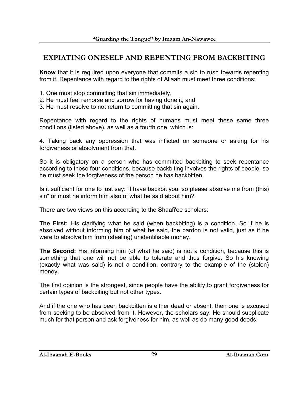#### **EXPIATING ONESELF AND REPENTING FROM BACKBITING**

**Know** that it is required upon everyone that commits a sin to rush towards repenting from it. Repentance with regard to the rights of Allaah must meet three conditions:

- 1. One must stop committing that sin immediately,
- 2. He must feel remorse and sorrow for having done it, and
- 3. He must resolve to not return to committing that sin again.

Repentance with regard to the rights of humans must meet these same three conditions (listed above), as well as a fourth one, which is:

4. Taking back any oppression that was inflicted on someone or asking for his forgiveness or absolvment from that.

So it is obligatory on a person who has committed backbiting to seek repentance according to these four conditions, because backbiting involves the rights of people, so he must seek the forgiveness of the person he has backbitten.

Is it sufficient for one to just say: "I have backbit you, so please absolve me from (this) sin" or must he inform him also of what he said about him?

There are two views on this according to the Shaafi'ee scholars:

**The First:** His clarifying what he said (when backbiting) is a condition. So if he is absolved without informing him of what he said, the pardon is not valid, just as if he were to absolve him from (stealing) unidentifiable money.

**The Second:** His informing him (of what he said) is not a condition, because this is something that one will not be able to tolerate and thus forgive. So his knowing (exactly what was said) is not a condition, contrary to the example of the (stolen) money.

The first opinion is the strongest, since people have the ability to grant forgiveness for certain types of backbiting but not other types.

And if the one who has been backbitten is either dead or absent, then one is excused from seeking to be absolved from it. However, the scholars say: He should supplicate much for that person and ask forgiveness for him, as well as do many good deeds.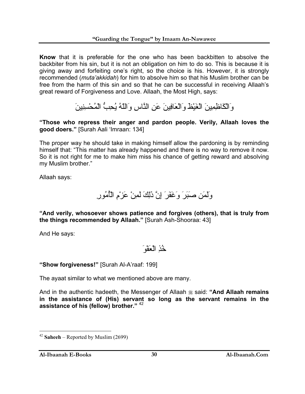**Know** that it is preferable for the one who has been backbitten to absolve the backbiter from his sin, but it is not an obligation on him to do so. This is because it is giving away and forfeiting one's right, so the choice is his. However, it is strongly recommended (*muta'akkidah*) for him to absolve him so that his Muslim brother can be free from the harm of this sin and so that he can be successful in receiving Allaah's great reward of Forgiveness and Love. Allaah, the Most High, says:

وَالْكَاظِمِينَ الْغَيْظَ وَالْعَافِينَ عَنِ النَّاسِ وَاللّهُ يُحِبُّ الْمُحْسِنِينَ

**"Those who repress their anger and pardon people. Verily, Allaah loves the good doers."** [Surah Aali 'Imraan: 134]

The proper way he should take in making himself allow the pardoning is by reminding himself that: "This matter has already happened and there is no way to remove it now. So it is not right for me to make him miss his chance of getting reward and absolving my Muslim brother."

Allaah says:

وَلَمَن صَبَرَ وَغَفَرَ إِنَّ ذَلِكَ لَمِنْ عَزْمِ الْأُمُورِ

**"And verily, whosoever shows patience and forgives (others), that is truly from the things recommended by Allaah."** [Surah Ash-Shooraa: 43]

And He says:

خُذِ الْعَفْوَ

**"Show forgiveness!"** [Surah Al-A'raaf: 199]

The ayaat similar to what we mentioned above are many.

And in the authentic hadeeth, the Messenger of Allaah <sup>3</sup> said: "And Allaah remains **in the assistance of (His) servant so long as the servant remains in the assistance of his (fellow) brother."** <sup>42</sup>

<sup>42</sup> **Saheeh** – Reported by Muslim (2699)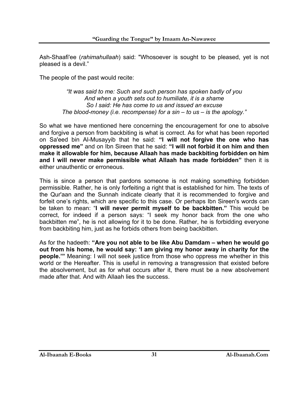Ash-Shaafi'ee (*rahimahullaah*) said: "Whosoever is sought to be pleased, yet is not pleased is a devil."

The people of the past would recite:

*"It was said to me: Such and such person has spoken badly of you And when a youth sets out to humiliate, it is a shame So I said: He has come to us and issued an excuse The blood-money (i.e. recompense) for a sin – to us – is the apology."* 

So what we have mentioned here concerning the encouragement for one to absolve and forgive a person from backbiting is what is correct. As for what has been reported on Sa'eed bin Al-Musayyib that he said: **"I will not forgive the one who has oppressed me"** and on Ibn Sireen that he said: **"I will not forbid it on him and then make it allowable for him, because Allaah has made backbiting forbidden on him and I will never make permissible what Allaah has made forbidden"** then it is either unauthentic or erroneous.

This is since a person that pardons someone is not making something forbidden permissible. Rather, he is only forfeiting a right that is established for him. The texts of the Qur'aan and the Sunnah indicate clearly that it is recommended to forgive and forfeit one's rights, which are specific to this case. Or perhaps Ibn Sireen's words can be taken to mean: "**I will never permit myself to be backbitten."** This would be correct, for indeed if a person says: "I seek my honor back from the one who backbitten me", he is not allowing for it to be done. Rather, he is forbidding everyone from backbiting him, just as he forbids others from being backbitten.

As for the hadeeth: **"Are you not able to be like Abu Damdam – when he would go out from his home, he would say: 'I am giving my honor away in charity for the people.'"** Meaning: I will not seek justice from those who oppress me whether in this world or the Hereafter. This is useful in removing a transgression that existed before the absolvement, but as for what occurs after it, there must be a new absolvement made after that. And with Allaah lies the success.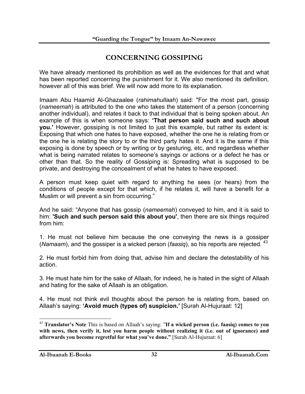#### **CONCERNING GOSSIPING**

We have already mentioned its prohibition as well as the evidences for that and what has been reported concerning the punishment for it. We also mentioned its definition, however all of this was brief. We will now add more to its explanation.

Imaam Abu Haamid Al-Ghazaalee (*rahimahullaah*) said: "For the most part, gossip (*nameemah*) is attributed to the one who takes the statement of a person (concerning another individual), and relates it back to that individual that is being spoken about. An example of this is when someone says: **'That person said such and such about you.'** However, gossiping is not limited to just this example, but rather its extent is: Exposing that which one hates to have exposed, whether the one he is relating from or the one he is relating the story to or the third party hates it. And it is the same if this exposing is done by speech or by writing or by gesturing, etc, and regardless whether what is being narrated relates to someone's sayings or actions or a defect he has or other than that. So the reality of Gossiping is: Spreading what is supposed to be private, and destroying the concealment of what he hates to have exposed.

A person must keep quiet with regard to anything he sees (or hears) from the conditions of people except for that which, if he relates it, will have a benefit for a Muslim or will prevent a sin from occurring."

And he said: "Anyone that has gossip (*nameemah*) conveyed to him, and it is said to him: **'Such and such person said this about you'**, then there are six things required from him:

1. He must not believe him because the one conveying the news is a gossiper (*Namaam*), and the gossiper is a wicked person (*faasiq*), so his reports are rejected. 43

2. He must forbid him from doing that, advise him and declare the detestability of his action.

3. He must hate him for the sake of Allaah, for indeed, he is hated in the sight of Allaah and hating for the sake of Allaah is an obligation.

4. He must not think evil thoughts about the person he is relating from, based on Allaah's saying: **'Avoid much (types of) suspicion.'** [Surah Al-Hujuraat: 12]

<sup>43</sup> **Translator's Note** This is based on Allaah's saying: "**If a wicked person (i.e. faasiq) comes to you**  with news, then verify it, lest you harm people without realizing it (i.e. out of ignorance) and **afterwards you become regretful for what you've done."** [Surah Al-Hujuraat: 6]